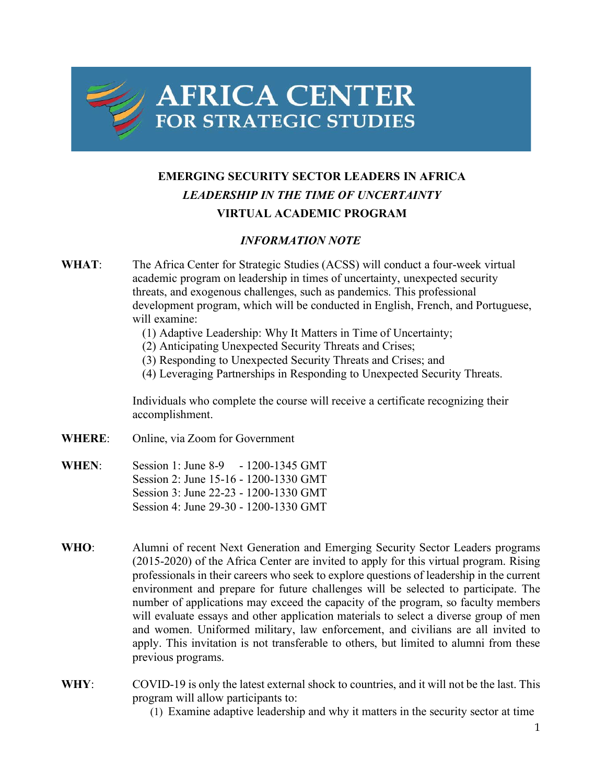

## **EMERGING SECURITY SECTOR LEADERS IN AFRICA** *LEADERSHIP IN THE TIME OF UNCERTAINTY* **VIRTUAL ACADEMIC PROGRAM**

## *INFORMATION NOTE*

- **WHAT**: The Africa Center for Strategic Studies (ACSS) will conduct a four-week virtual academic program on leadership in times of uncertainty, unexpected security threats, and exogenous challenges, such as pandemics. This professional development program, which will be conducted in English, French, and Portuguese, will examine:
	- (1) Adaptive Leadership: Why It Matters in Time of Uncertainty;
	- (2) Anticipating Unexpected Security Threats and Crises;
	- (3) Responding to Unexpected Security Threats and Crises; and
	- (4) Leveraging Partnerships in Responding to Unexpected Security Threats.

Individuals who complete the course will receive a certificate recognizing their accomplishment.

- **WHERE**: Online, via Zoom for Government
- **WHEN**: Session 1: June 8-9 1200-1345 GMT Session 2: June 15-16 - 1200-1330 GMT Session 3: June 22-23 - 1200-1330 GMT Session 4: June 29-30 - 1200-1330 GMT
- **WHO**: Alumni of recent Next Generation and Emerging Security Sector Leaders programs (2015-2020) of the Africa Center are invited to apply for this virtual program. Rising professionals in their careers who seek to explore questions of leadership in the current environment and prepare for future challenges will be selected to participate. The number of applications may exceed the capacity of the program, so faculty members will evaluate essays and other application materials to select a diverse group of men and women. Uniformed military, law enforcement, and civilians are all invited to apply. This invitation is not transferable to others, but limited to alumni from these previous programs.
- **WHY**: COVID-19 is only the latest external shock to countries, and it will not be the last. This program will allow participants to:

(1) Examine adaptive leadership and why it matters in the security sector at time